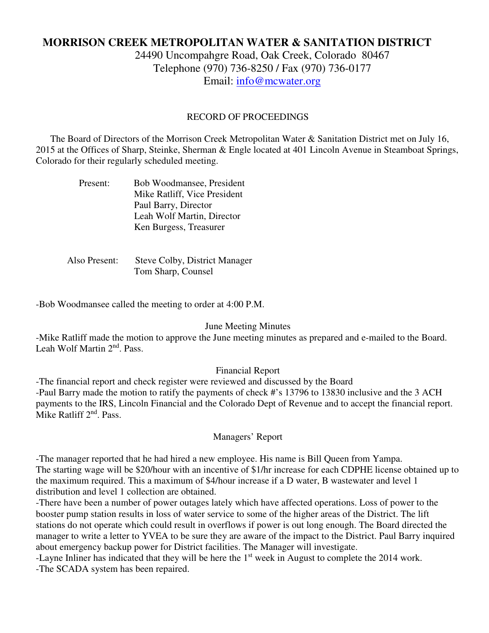# **MORRISON CREEK METROPOLITAN WATER & SANITATION DISTRICT**

24490 Uncompahgre Road, Oak Creek, Colorado 80467 Telephone (970) 736-8250 / Fax (970) 736-0177 Email: info@mcwater.org

### RECORD OF PROCEEDINGS

 The Board of Directors of the Morrison Creek Metropolitan Water & Sanitation District met on July 16, 2015 at the Offices of Sharp, Steinke, Sherman & Engle located at 401 Lincoln Avenue in Steamboat Springs, Colorado for their regularly scheduled meeting.

| Present: | Bob Woodmansee, President    |
|----------|------------------------------|
|          | Mike Ratliff, Vice President |
|          | Paul Barry, Director         |
|          | Leah Wolf Martin, Director   |
|          | Ken Burgess, Treasurer       |

 Also Present: Steve Colby, District Manager Tom Sharp, Counsel

-Bob Woodmansee called the meeting to order at 4:00 P.M.

#### June Meeting Minutes

-Mike Ratliff made the motion to approve the June meeting minutes as prepared and e-mailed to the Board. Leah Wolf Martin 2nd. Pass.

## Financial Report

-The financial report and check register were reviewed and discussed by the Board -Paul Barry made the motion to ratify the payments of check #'s 13796 to 13830 inclusive and the 3 ACH payments to the IRS, Lincoln Financial and the Colorado Dept of Revenue and to accept the financial report. Mike Ratliff  $2<sup>nd</sup>$ . Pass.

#### Managers' Report

-The manager reported that he had hired a new employee. His name is Bill Queen from Yampa. The starting wage will be \$20/hour with an incentive of \$1/hr increase for each CDPHE license obtained up to the maximum required. This a maximum of \$4/hour increase if a D water, B wastewater and level 1 distribution and level 1 collection are obtained.

-There have been a number of power outages lately which have affected operations. Loss of power to the booster pump station results in loss of water service to some of the higher areas of the District. The lift stations do not operate which could result in overflows if power is out long enough. The Board directed the manager to write a letter to YVEA to be sure they are aware of the impact to the District. Paul Barry inquired about emergency backup power for District facilities. The Manager will investigate.

-Layne Inliner has indicated that they will be here the 1<sup>st</sup> week in August to complete the 2014 work. -The SCADA system has been repaired.